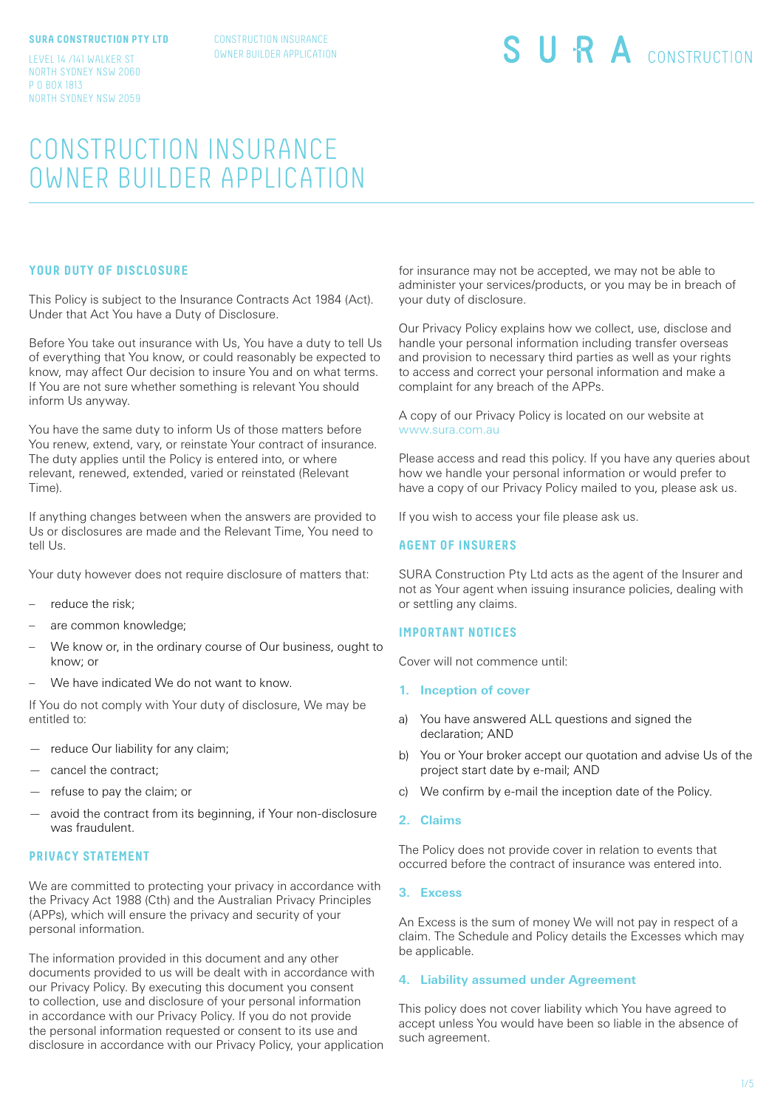#### **SURA CONSTRUCTION PTY LTD**

LEVEL 14 /141 WALKER ST NORTH SYDNEY NSW 2060

NORTH SYDNEY NSW 2059

P O BOX 1813

CONSTRUCTION INSURANCE OWNER BUILDER APPLICATION SURA CONSTRUCTION

# CONSTRUCTION INSURANCE OWNER BUILDER APPLICATION

### **YOUR DUTY OF DISCLOSURE**

This Policy is subject to the Insurance Contracts Act 1984 (Act). Under that Act You have a Duty of Disclosure.

Before You take out insurance with Us, You have a duty to tell Us of everything that You know, or could reasonably be expected to know, may affect Our decision to insure You and on what terms. If You are not sure whether something is relevant You should inform Us anyway.

You have the same duty to inform Us of those matters before You renew, extend, vary, or reinstate Your contract of insurance. The duty applies until the Policy is entered into, or where relevant, renewed, extended, varied or reinstated (Relevant Time).

If anything changes between when the answers are provided to Us or disclosures are made and the Relevant Time, You need to tell Us.

Your duty however does not require disclosure of matters that:

- reduce the risk:
- are common knowledge;
- We know or, in the ordinary course of Our business, ought to know; or
- We have indicated We do not want to know.

If You do not comply with Your duty of disclosure, We may be entitled to:

- reduce Our liability for any claim;
- cancel the contract;
- refuse to pay the claim; or
- avoid the contract from its beginning, if Your non-disclosure was fraudulent.

### **PRIVACY STATEMENT**

We are committed to protecting your privacy in accordance with the Privacy Act 1988 (Cth) and the Australian Privacy Principles (APPs), which will ensure the privacy and security of your personal information.

The information provided in this document and any other documents provided to us will be dealt with in accordance with our Privacy Policy. By executing this document you consent to collection, use and disclosure of your personal information in accordance with our Privacy Policy. If you do not provide the personal information requested or consent to its use and disclosure in accordance with our Privacy Policy, your application for insurance may not be accepted, we may not be able to administer your services/products, or you may be in breach of your duty of disclosure.

Our Privacy Policy explains how we collect, use, disclose and handle your personal information including transfer overseas and provision to necessary third parties as well as your rights to access and correct your personal information and make a complaint for any breach of the APPs.

A copy of our Privacy Policy is located on our website at www.sura.com.au

Please access and read this policy. If you have any queries about how we handle your personal information or would prefer to have a copy of our Privacy Policy mailed to you, please ask us.

If you wish to access your file please ask us.

### **AGENT OF INSURERS**

SURA Construction Pty Ltd acts as the agent of the Insurer and not as Your agent when issuing insurance policies, dealing with or settling any claims.

### **IMPORTANT NOTICES**

Cover will not commence until:

- **1. Inception of cover**
- a) You have answered ALL questions and signed the declaration; AND
- b) You or Your broker accept our quotation and advise Us of the project start date by e-mail; AND
- c) We confirm by e-mail the inception date of the Policy.
- **2. Claims**

The Policy does not provide cover in relation to events that occurred before the contract of insurance was entered into.

#### **3. Excess**

An Excess is the sum of money We will not pay in respect of a claim. The Schedule and Policy details the Excesses which may be applicable.

### **4. Liability assumed under Agreement**

This policy does not cover liability which You have agreed to accept unless You would have been so liable in the absence of such agreement.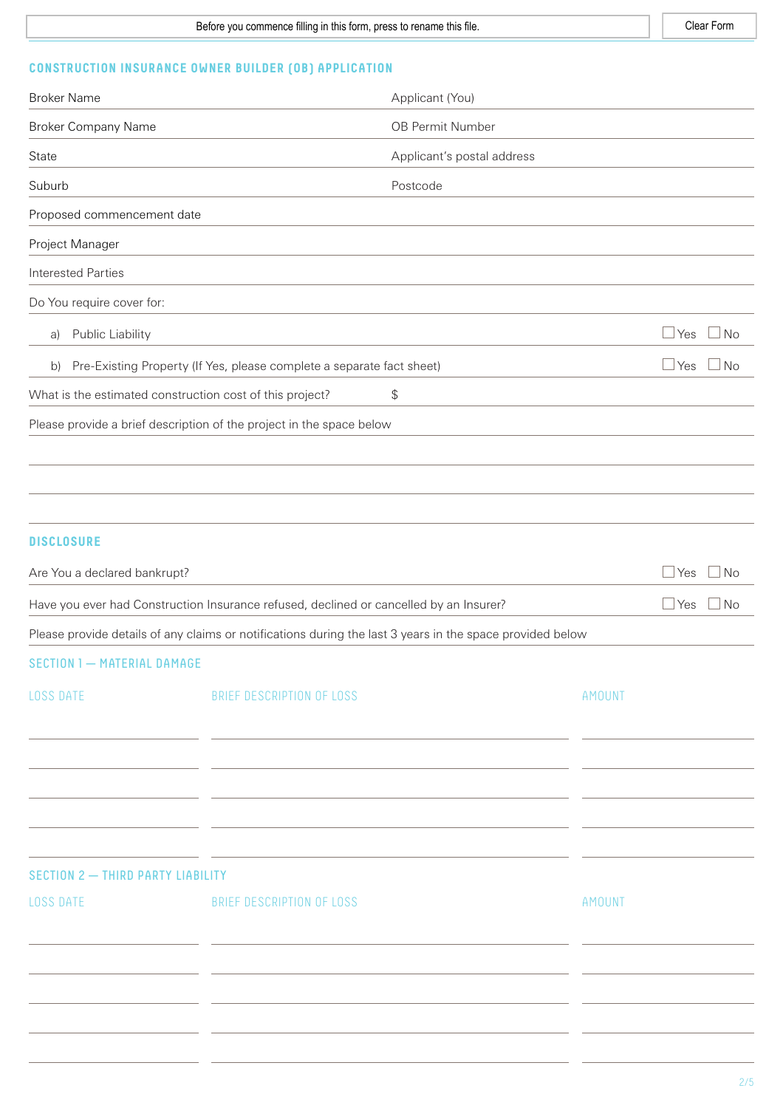# **CONSTRUCTION INSURANCE OWNER BUILDER (OB) APPLICATION**

| <b>Broker Name</b>                                                                     |                                                                       | Applicant (You)                                                                                           |                             |
|----------------------------------------------------------------------------------------|-----------------------------------------------------------------------|-----------------------------------------------------------------------------------------------------------|-----------------------------|
| <b>Broker Company Name</b>                                                             |                                                                       | OB Permit Number                                                                                          |                             |
| State                                                                                  |                                                                       | Applicant's postal address                                                                                |                             |
| Suburb                                                                                 |                                                                       | Postcode                                                                                                  |                             |
| Proposed commencement date                                                             |                                                                       |                                                                                                           |                             |
| Project Manager                                                                        |                                                                       |                                                                                                           |                             |
| <b>Interested Parties</b>                                                              |                                                                       |                                                                                                           |                             |
| Do You require cover for:                                                              |                                                                       |                                                                                                           |                             |
| Public Liability<br>a)                                                                 |                                                                       |                                                                                                           | $\Box$ No<br>$\Box$ Yes     |
| b)                                                                                     | Pre-Existing Property (If Yes, please complete a separate fact sheet) |                                                                                                           | $\Box$ Yes<br>$\Box$ No     |
| What is the estimated construction cost of this project?                               |                                                                       | \$                                                                                                        |                             |
| Please provide a brief description of the project in the space below                   |                                                                       |                                                                                                           |                             |
|                                                                                        |                                                                       |                                                                                                           |                             |
|                                                                                        |                                                                       |                                                                                                           |                             |
|                                                                                        |                                                                       |                                                                                                           |                             |
| <b>DISCLOSURE</b>                                                                      |                                                                       |                                                                                                           |                             |
| Are You a declared bankrupt?                                                           |                                                                       |                                                                                                           | $\Box$ No<br>Yes            |
| Have you ever had Construction Insurance refused, declined or cancelled by an Insurer? |                                                                       |                                                                                                           | Yes<br>  No<br>$\mathbf{I}$ |
|                                                                                        |                                                                       | Please provide details of any claims or notifications during the last 3 years in the space provided below |                             |
| <b>SECTION 1 - MATERIAL DAMAGE</b>                                                     |                                                                       |                                                                                                           |                             |
| <b>LOSS DATE</b>                                                                       | BRIEF DESCRIPTION OF LOSS                                             |                                                                                                           | <b>AMOUNT</b>               |
|                                                                                        |                                                                       |                                                                                                           |                             |
|                                                                                        |                                                                       |                                                                                                           |                             |
| SECTION 2 - THIRD PARTY LIABILITY                                                      |                                                                       |                                                                                                           |                             |
| <b>LOSS DATE</b>                                                                       | BRIEF DESCRIPTION OF LOSS                                             |                                                                                                           | <b>AMOUNT</b>               |
|                                                                                        |                                                                       |                                                                                                           |                             |
|                                                                                        |                                                                       |                                                                                                           |                             |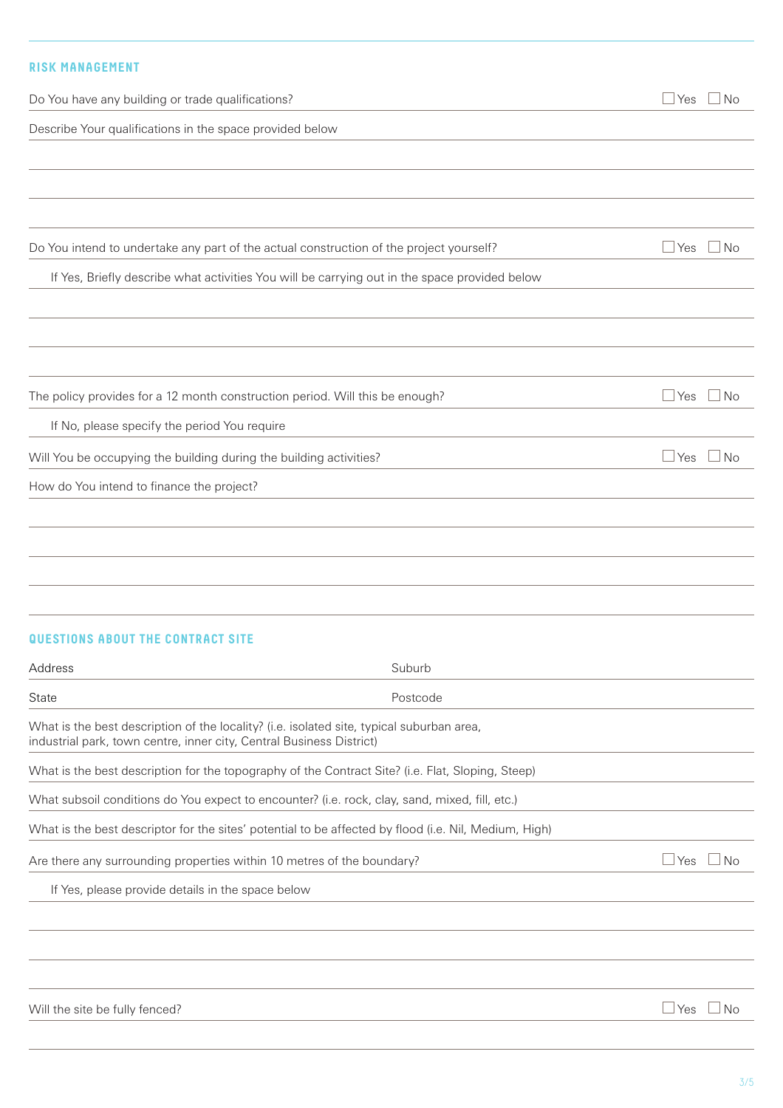# **RISK MANAGEMENT**

| Do You have any building or trade qualifications?                                                                                                                 | Yes   | ⊿ No      |
|-------------------------------------------------------------------------------------------------------------------------------------------------------------------|-------|-----------|
| Describe Your qualifications in the space provided below                                                                                                          |       |           |
|                                                                                                                                                                   |       |           |
|                                                                                                                                                                   |       |           |
|                                                                                                                                                                   |       |           |
| Do You intend to undertake any part of the actual construction of the project yourself?                                                                           | l Yes | $\Box$ No |
| If Yes, Briefly describe what activities You will be carrying out in the space provided below                                                                     |       |           |
|                                                                                                                                                                   |       |           |
|                                                                                                                                                                   |       |           |
|                                                                                                                                                                   |       |           |
| The policy provides for a 12 month construction period. Will this be enough?                                                                                      | l Yes | $\Box$ No |
| If No, please specify the period You require                                                                                                                      |       |           |
| Will You be occupying the building during the building activities?                                                                                                | l Yes | $\Box$ No |
| How do You intend to finance the project?                                                                                                                         |       |           |
|                                                                                                                                                                   |       |           |
|                                                                                                                                                                   |       |           |
|                                                                                                                                                                   |       |           |
|                                                                                                                                                                   |       |           |
| <b>QUESTIONS ABOUT THE CONTRACT SITE</b>                                                                                                                          |       |           |
| Suburb<br>Address                                                                                                                                                 |       |           |
| Postcode<br>State                                                                                                                                                 |       |           |
| What is the best description of the locality? (i.e. isolated site, typical suburban area,<br>industrial park, town centre, inner city, Central Business District) |       |           |
| What is the best description for the topography of the Contract Site? (i.e. Flat, Sloping, Steep)                                                                 |       |           |
| What subsoil conditions do You expect to encounter? (i.e. rock, clay, sand, mixed, fill, etc.)                                                                    |       |           |
| What is the best descriptor for the sites' potential to be affected by flood (i.e. Nil, Medium, High)                                                             |       |           |
| Are there any surrounding properties within 10 metres of the boundary?                                                                                            | Yes   | ⊿ No      |
| If Yes, please provide details in the space below                                                                                                                 |       |           |
|                                                                                                                                                                   |       |           |
|                                                                                                                                                                   |       |           |
|                                                                                                                                                                   |       |           |
| Will the site be fully fenced?                                                                                                                                    | l Yes | ⊿No       |
|                                                                                                                                                                   |       |           |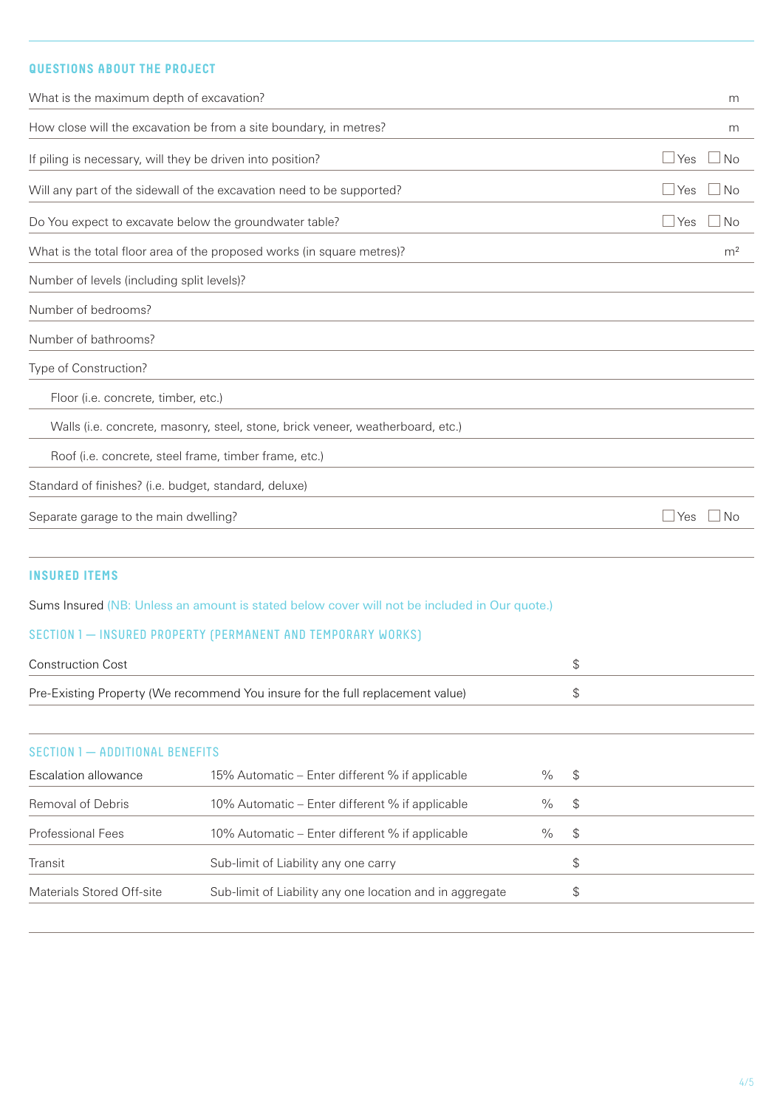# **QUESTIONS ABOUT THE PROJECT**

| What is the maximum depth of excavation?                                       | m                         |
|--------------------------------------------------------------------------------|---------------------------|
| How close will the excavation be from a site boundary, in metres?              | m                         |
| If piling is necessary, will they be driven into position?                     | $\sqcup$ Yes<br>$\Box$ No |
| Will any part of the sidewall of the excavation need to be supported?          | $\Box$ Yes<br>l No        |
| Do You expect to excavate below the groundwater table?                         | ⊿ Yes<br>$\Box$ No        |
| What is the total floor area of the proposed works (in square metres)?         | m <sup>2</sup>            |
| Number of levels (including split levels)?                                     |                           |
| Number of bedrooms?                                                            |                           |
| Number of bathrooms?                                                           |                           |
| Type of Construction?                                                          |                           |
| Floor (i.e. concrete, timber, etc.)                                            |                           |
| Walls (i.e. concrete, masonry, steel, stone, brick veneer, weatherboard, etc.) |                           |
| Roof (i.e. concrete, steel frame, timber frame, etc.)                          |                           |
| Standard of finishes? (i.e. budget, standard, deluxe)                          |                           |
| Separate garage to the main dwelling?                                          | No<br>l Yes               |
|                                                                                |                           |

## **INSURED ITEMS**

Sums Insured (NB: Unless an amount is stated below cover will not be included in Our quote.)

SECTION 1 — INSURED PROPERTY (PERMANENT AND TEMPORARY WORKS)

| Construction Cost                                                              |  |
|--------------------------------------------------------------------------------|--|
| Pre-Existing Property (We recommend You insure for the full replacement value) |  |

### SECTION 1 - ADDITIONAL BENEFITS

| Escalation allowance      | 15% Automatic – Enter different % if applicable          | $\%$ | \$           |  |
|---------------------------|----------------------------------------------------------|------|--------------|--|
| Removal of Debris         | 10% Automatic – Enter different % if applicable          | %    | $\mathbb{S}$ |  |
| <b>Professional Fees</b>  | 10% Automatic – Enter different % if applicable          | $\%$ | <b>S</b>     |  |
| Transit                   | Sub-limit of Liability any one carry                     |      | S            |  |
| Materials Stored Off-site | Sub-limit of Liability any one location and in aggregate |      | S            |  |